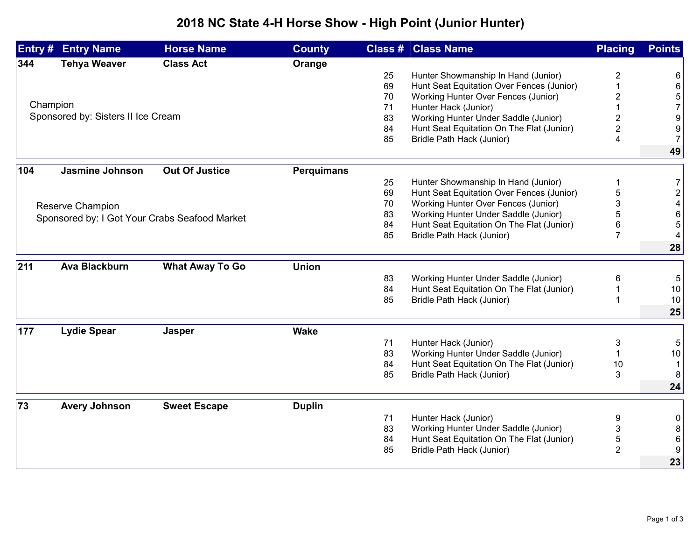## **2018 NC State 4-H Horse Show - High Point (Junior Hunter)**

| Entry #                            | <b>Entry Name</b>                             | <b>Horse Name</b>      | <b>County</b>     |                                           | <b>Class # Class Name</b>                 | <b>Placing</b> | <b>Points</b>  |
|------------------------------------|-----------------------------------------------|------------------------|-------------------|-------------------------------------------|-------------------------------------------|----------------|----------------|
| 344                                | <b>Tehya Weaver</b>                           | <b>Class Act</b>       | Orange            |                                           |                                           |                |                |
|                                    |                                               |                        |                   | 25                                        | Hunter Showmanship In Hand (Junior)       | 2              | 6              |
|                                    |                                               |                        |                   | 69                                        | Hunt Seat Equitation Over Fences (Junior) |                | 6              |
|                                    |                                               |                        |                   | 70                                        | Working Hunter Over Fences (Junior)       | 2              | 5              |
| Champion                           |                                               |                        | 71                | Hunter Hack (Junior)                      |                                           | $\overline{7}$ |                |
| Sponsored by: Sisters II Ice Cream |                                               |                        |                   | 83                                        | Working Hunter Under Saddle (Junior)      | 2              | 9              |
|                                    |                                               |                        | 84                | Hunt Seat Equitation On The Flat (Junior) | $\overline{2}$                            | 9              |                |
|                                    |                                               |                        |                   | 85                                        | Bridle Path Hack (Junior)                 | 4              | $\overline{7}$ |
|                                    |                                               |                        |                   |                                           |                                           |                | 49             |
| 104                                | <b>Jasmine Johnson</b>                        | <b>Out Of Justice</b>  | <b>Perquimans</b> |                                           |                                           |                |                |
|                                    |                                               |                        |                   | 25                                        | Hunter Showmanship In Hand (Junior)       |                | $\overline{7}$ |
|                                    |                                               |                        |                   | 69                                        | Hunt Seat Equitation Over Fences (Junior) | 5              | $\overline{2}$ |
| Reserve Champion                   |                                               |                        |                   | 70                                        | Working Hunter Over Fences (Junior)       | 3              |                |
|                                    | Sponsored by: I Got Your Crabs Seafood Market |                        |                   | 83                                        | Working Hunter Under Saddle (Junior)      | 5              | 6              |
|                                    |                                               |                        |                   | 84                                        | Hunt Seat Equitation On The Flat (Junior) | 6              | 5              |
|                                    |                                               |                        |                   | 85                                        | Bridle Path Hack (Junior)                 | $\overline{7}$ |                |
|                                    |                                               |                        |                   |                                           |                                           |                | 28             |
| 211                                | <b>Ava Blackburn</b>                          | <b>What Away To Go</b> | <b>Union</b>      |                                           |                                           |                |                |
|                                    |                                               |                        |                   | 83                                        | Working Hunter Under Saddle (Junior)      | 6              | 5              |
|                                    |                                               |                        |                   | 84                                        | Hunt Seat Equitation On The Flat (Junior) |                | 10             |
|                                    |                                               |                        |                   | 85                                        | Bridle Path Hack (Junior)                 |                | 10             |
|                                    |                                               |                        |                   |                                           |                                           |                | 25             |
| 177                                | <b>Lydie Spear</b>                            | <b>Jasper</b>          | <b>Wake</b>       |                                           |                                           |                |                |
|                                    |                                               |                        |                   | 71                                        | Hunter Hack (Junior)                      | 3              | 5              |
|                                    |                                               |                        |                   | 83                                        | Working Hunter Under Saddle (Junior)      |                | 10             |
|                                    |                                               |                        |                   | 84                                        | Hunt Seat Equitation On The Flat (Junior) | 10             | $\mathbf 1$    |
|                                    |                                               |                        |                   | 85                                        | Bridle Path Hack (Junior)                 | 3              | 8              |
|                                    |                                               |                        |                   |                                           |                                           |                | 24             |
|                                    |                                               |                        |                   |                                           |                                           |                |                |
| 73                                 | <b>Avery Johnson</b>                          | <b>Sweet Escape</b>    | <b>Duplin</b>     |                                           |                                           |                |                |
|                                    |                                               |                        |                   | 71                                        | Hunter Hack (Junior)                      | 9              | 0              |
|                                    |                                               |                        |                   | 83                                        | Working Hunter Under Saddle (Junior)      | 3              | 8              |
|                                    |                                               |                        |                   | 84                                        | Hunt Seat Equitation On The Flat (Junior) | 5              | 6              |
|                                    |                                               |                        |                   | 85                                        | Bridle Path Hack (Junior)                 | $\overline{2}$ | 9              |
|                                    |                                               |                        |                   |                                           |                                           |                | 23             |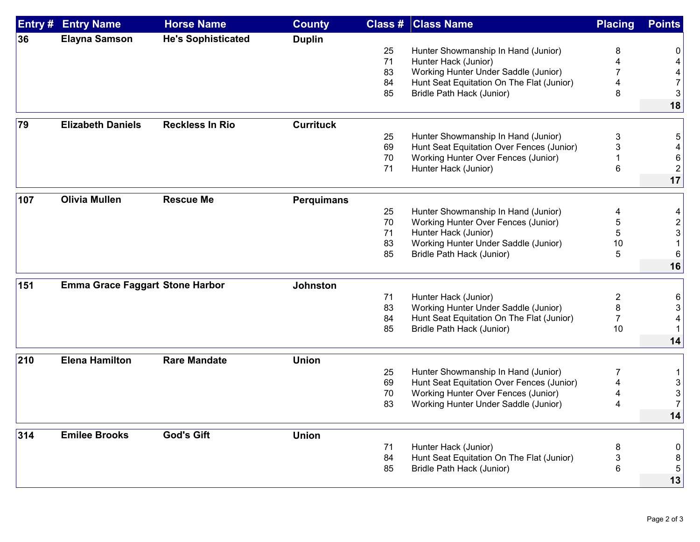| Entry # | <b>Entry Name</b>                      | <b>Horse Name</b>         | <b>County</b>     |          | <b>Class # Class Name</b>                 | <b>Placing</b> | <b>Points</b> |
|---------|----------------------------------------|---------------------------|-------------------|----------|-------------------------------------------|----------------|---------------|
| 36      | <b>Elayna Samson</b>                   | <b>He's Sophisticated</b> | <b>Duplin</b>     |          |                                           |                |               |
|         |                                        |                           |                   | 25       | Hunter Showmanship In Hand (Junior)       | 8              | 0             |
|         |                                        |                           |                   | 71       | Hunter Hack (Junior)                      |                |               |
|         |                                        |                           |                   | 83       | Working Hunter Under Saddle (Junior)      |                |               |
|         |                                        |                           |                   | 84       | Hunt Seat Equitation On The Flat (Junior) | 4              |               |
|         |                                        |                           |                   | 85       | Bridle Path Hack (Junior)                 | 8              |               |
|         |                                        |                           |                   |          |                                           |                | 18            |
| 79      | <b>Elizabeth Daniels</b>               | <b>Reckless In Rio</b>    | <b>Currituck</b>  |          |                                           |                |               |
|         |                                        |                           |                   | 25       | Hunter Showmanship In Hand (Junior)       |                |               |
|         |                                        |                           |                   | 69       | Hunt Seat Equitation Over Fences (Junior) | 3<br>3         |               |
|         |                                        |                           |                   |          |                                           |                |               |
|         |                                        |                           |                   | 70<br>71 | Working Hunter Over Fences (Junior)       |                |               |
|         |                                        |                           |                   |          | Hunter Hack (Junior)                      | 6              |               |
|         |                                        |                           |                   |          |                                           |                | 17            |
| 107     | <b>Olivia Mullen</b>                   | <b>Rescue Me</b>          | <b>Perquimans</b> |          |                                           |                |               |
|         |                                        |                           |                   | 25       | Hunter Showmanship In Hand (Junior)       | 4              |               |
|         |                                        |                           |                   | 70       | Working Hunter Over Fences (Junior)       | 5              |               |
|         |                                        |                           |                   | 71       | Hunter Hack (Junior)                      | 5              |               |
|         |                                        |                           |                   | 83       | Working Hunter Under Saddle (Junior)      | 10             |               |
|         |                                        |                           |                   | 85       | Bridle Path Hack (Junior)                 | 5              |               |
|         |                                        |                           |                   |          |                                           |                | 16            |
| 151     |                                        |                           | <b>Johnston</b>   |          |                                           |                |               |
|         | <b>Emma Grace Faggart Stone Harbor</b> |                           |                   |          |                                           |                |               |
|         |                                        |                           |                   | 71       | Hunter Hack (Junior)                      | 2              |               |
|         |                                        |                           |                   | 83       | Working Hunter Under Saddle (Junior)      | 8              |               |
|         |                                        |                           |                   | 84       | Hunt Seat Equitation On The Flat (Junior) | 7              |               |
|         |                                        |                           |                   | 85       | Bridle Path Hack (Junior)                 | 10             |               |
|         |                                        |                           |                   |          |                                           |                | 14            |
| 210     | <b>Elena Hamilton</b>                  | <b>Rare Mandate</b>       | <b>Union</b>      |          |                                           |                |               |
|         |                                        |                           |                   | 25       | Hunter Showmanship In Hand (Junior)       | 7              |               |
|         |                                        |                           |                   | 69       | Hunt Seat Equitation Over Fences (Junior) |                |               |
|         |                                        |                           |                   | 70       | Working Hunter Over Fences (Junior)       |                |               |
|         |                                        |                           |                   | 83       | Working Hunter Under Saddle (Junior)      | 4              |               |
|         |                                        |                           |                   |          |                                           |                | 14            |
|         |                                        |                           |                   |          |                                           |                |               |
| 314     | <b>Emilee Brooks</b>                   | <b>God's Gift</b>         | <b>Union</b>      |          |                                           |                |               |
|         |                                        |                           |                   | 71       | Hunter Hack (Junior)                      | 8              | 0             |
|         |                                        |                           |                   | 84       | Hunt Seat Equitation On The Flat (Junior) | 3              | 8             |
|         |                                        |                           |                   | 85       | Bridle Path Hack (Junior)                 | 6              | 5             |
|         |                                        |                           |                   |          |                                           |                | 13            |